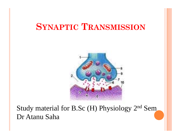### **SYNAPTIC TRANSMISSION**



#### Study material for B.Sc (H) Physiology 2nd Sem Dr Atanu Saha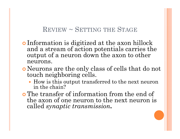#### $\rm REVIEW \sim SETTING$  THE  $\rm STAGE$

- Information is digitized at the axon hillock and a stream of action potentials carries the output of a neuron down the axon to other neurons.
- Neurons are the only class of cells that do not touch neighboring cells.
	- How is this output transferred to the next neuron in the chain?
- **o** The transfer of information from the end of the axon of one neuron to the next neuron is called *synaptic transmission***.**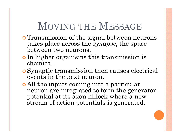# MOVING THE MESSAGE

- **o** Transmission of the signal between neurons takes place across the *synapse*, the space between two neurons.
- **o** In higher organisms this transmission is chemical.
- Synaptic transmission then causes electrical events in the next neuron.
- All the inputs coming into a particular neuron are integrated to form the generator potential at its axon hillock where a new stream of action potentials is generated.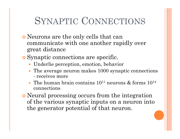# SYNAPTIC CONNECTIONS

- Neurons are the only cells that can communicate with one another rapidly over great distance
- **o** Synaptic connections are specific.
	- Underlie perception, emotion, behavior
	- The average neuron makes 1000 synaptic connections - receives more
	- The human brain contains  $10^{11}$  neurons & forms  $10^{14}$ connections
- **o** Neural processing occurs from the integration of the various synaptic inputs on a neuron into the generator potential of that neuron.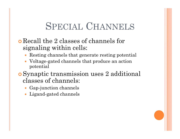# SPECIAL CHANNELS

- Recall the 2 classes of channels for signaling within cells:
	- $\bullet$ Resting channels that generate resting potential
	- $\bullet$  Voltage-gated channels that produce an action potential
- Synaptic transmission uses 2 additional classes of channels:
	- Gap-junction channels
	- $\bullet$ Ligand-gated channels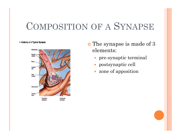### COMPOSITION OF A SYNAPSE

Anatomy of a Typical Synapse



- **o** The synapse is made of 3 elements:
	- $\bullet$ pre-synaptic terminal
	- $\bullet$ postsynaptic cell
	- zone of apposition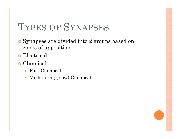## TYPES OF SYNAPSES

- **o** Synapses are divided into 2 groups based on zones of apposition:
- **o** Electrical
- **o** Chemical
	- Fast Chemical
	- $\bullet$ Modulating (slow) Chemical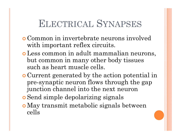# ELECTRICAL SYNAPSES

- Common in invertebrate neurons involved with important reflex circuits.
- Less common in adult mammalian neurons, but common in many other body tissues such as heart muscle cells.
- **Current generated by the action potential in** pre-synaptic neuron flows through the gap junction channel into the next neuron
- **o** Send simple depolarizing signals
- May transmit metabolic signals between cells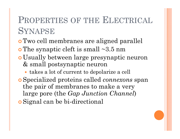### PROPERTIES OF THE ELECTRICAL SYNAPSE

- **o** Two cell membranes are aligned parallel
- $\bullet$  The synaptic cleft is small  $\sim$ 3.5 nm
- o Usually between large presynaptic neuron & small postsynaptic neuron
	- takes a lot of current to depolarize a cell
- **o** Specialized proteins called *connexons* span the pair of membranes to make a very large pore (the *Gap Junction Channel*)
- Signal can be bi-directional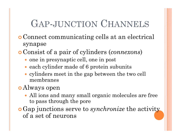# GAP-JUNCTION CHANNELS

- Connect communicating cells at an electrical synapse
- Consist of a pair of cylinders (*connexons*)
	- one in presynaptic cell, one in post
	- each cylinder made of 6 protein subunits
	- cylinders meet in the gap between the two cell membranes
- Always open
	- All ions and many small organic molecules are free to pass through the pore
- Gap junctions serve to *synchronize* the activity of a set of neurons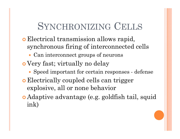# SYNCHRONIZING CELLS

- Electrical transmission allows rapid, synchronous firing of interconnected cells
	- Can interconnect groups of neurons
- Very fast; virtually no delay
	- Speed important for certain responses defense
- **Electrically coupled cells can trigger** explosive, all or none behavior
- **Adaptive advantage (e.g. goldfish tail, squid** ink)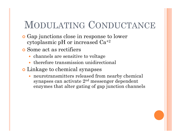# MODULATING CONDUCTANCE

- **•** Gap junctions close in response to lower cytoplasmic pH or increased Ca+2
- Some act as rectifiers
	- channels are sensitive to voltage
	- $\bullet$  therefore transmission unidirectional
- **o** Linkage to chemical synapses
	- $\bullet$  neurotransmitters released from nearby chemical synapses can activate 2nd messenger dependent enzymes that alter gating of gap junction channels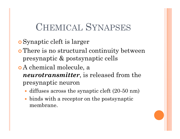### CHEMICAL SYNAPSES

- Synaptic cleft is larger
- **o** There is no structural continuity between presynaptic  $\&$  postsynaptic cells
- A chemical molecule, a *neurotransmitter*, is released from the presynaptic neuron
	- diffuses across the synaptic cleft (20-50 nm)
	- $\bullet$  binds with a receptor on the postsynaptic membrane.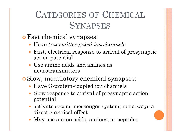### CATEGORIES OF CHEMICAL **SYNAPSES**

- Fast chemical synapses:
	- Have *transmitter-gated ion channels*
	- $\bullet$  Fast, electrical response to arrival of presynaptic action potential
	- Use amino acids and amines as neurotransmitters
- o Slow, modulatory chemical synapses:
	- Have G-protein-coupled ion channels
	- Slow response to arrival of presynaptic action potential
	- activate second messenger system; not always a direct electrical effect
	- May use amino acids, amines, or peptides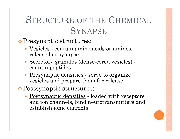### STRUCTURE OF THE CHEMICAL SYNAPSE

**o** Presynaptic structures:

- <u>Vesicles</u> contain amino acids or amines, released at synapse
- Secretory granules (dense-cored vesicles) contain peptides
- $\bullet$ Presynaptic densities - serve to organize vesicles and prepare them for release
- Postsynaptic structures:
	- <u>Postsynaptic densities</u> loaded with receptors and ion channels, bind neurotransmitters and establish ionic currents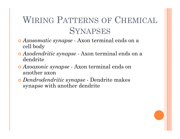# WIRING PATTERNS OF CHEMICAL **SYNAPSES**

- **o** Axosomatic synapse Axon terminal ends on a cell body
- *Axodendritic synapse -* Axon terminal ends on a dendrite
- *Axoaxonic synapse -* Axon terminal ends on another axon
- *o* Dendrodendritic synapse Dendrite makes synapse with another dendrite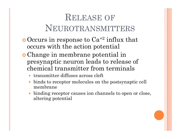### RELEASE OFNEUROTRANSMITTERS

- $\bullet$  Occurs in response to  $Ca^{+2}$  influx that occurs with the action potential
- Change in membrane potential in presynaptic neuron leads to release of chemical transmitter from terminals
	- transmitter diffuses across cleft
	- $\bullet$  binds to receptor molecules on the postsynaptic cell membrane
	- $\bullet$ binding receptor causes ion channels to open or close, altering potential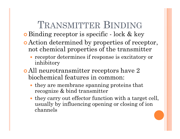# TRANSMITTER BINDING

- **o** Binding receptor is specific lock & key
- **Exercise Action determined by properties of receptor,** not chemical properties of the transmitter
	- receptor determines if response is excitatory or  $\operatorname{inhibitory}$
- All neurotransmitter receptors have 2 biochemical features in common:
	- they are membrane spanning proteins that recognize & bind transmitter
	- they carry out effector function with a target cell, usually by influencing opening or closing of ion channels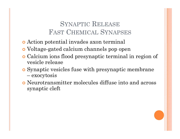#### SYNAPTIC RELEASE FAST CHEMICAL SYNAPSES

- Action potential invades axon terminal
- Voltage-gated calcium channels pop open
- Calcium ions flood presynaptic terminal in region of vesicle release
- Synaptic vesicles fuse with presynaptic membrane  $-$  exocytosis
- Neurotransmitter molecules diffuse into and across synaptic cleft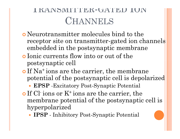# TRANSMITTER-GATED ION**CHANNELS**

- Neurotransmitter molecules bind to the receptor site on transmitter-gated ion channels embedded in the postsynaptic membrane
- Ionic currents flow into or out of the postsynaptic cell
- o If Na<sup>+</sup> ions are the carrier, the membrane potential of the postsynaptic cell is depolarized
	- **EPSP** -Excitatory Post-Synaptic Potential
- $\bullet$  If Cl ions or K<sup>+</sup> ions are the carrier, the membrane potential of the postsynaptic cell is hyperpolarized
	- IPSP Inhibitory Post-Synaptic Potential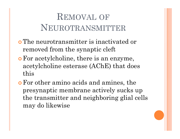### REMOVAL OFNEUROTRANSMITTER

- The neurotransmitter is inactivated or removed from the synaptic cleft
- **o** For acetylcholine, there is an enzyme, acetylcholine esterase (AChE) that does this
- For other amino acids and amines, the presynaptic membrane actively sucks up the transmitter and neighboring glial cells may do likewise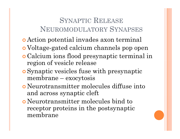#### SYNAPTIC RELEASE NEUROMODULATORY SYNAPSES

- Action potential invades axon terminal
- Voltage-gated calcium channels pop open
- Calcium ions flood presynaptic terminal in region of vesicle release
- Synaptic vesicles fuse with presynaptic membrane – exocytosis
- Neurotransmitter molecules diffuse into and across synaptic cleft
- Neurotransmitter molecules bind to receptor proteins in the postsynaptic membrane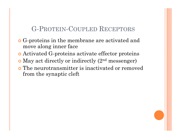#### G-PROTEIN-COUPLED RECEPTORS

- **o** G-proteins in the membrane are activated and move along inner face
- Activated G-proteins activate effector proteins
- May act directly or indirectly (2<sup>nd</sup> messenger)
- The neurotransmitter is inactivated or removed from the synaptic cleft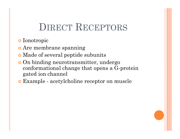### DIRECT RECEPTORS

- **o** Ionotropic
- o Are membrane spanning
- **Made of several peptide subunits**
- **o** On binding neurotransmitter, undergo conformational change that opens a G-protein gated ion channel
- Example acetylcholine receptor on muscle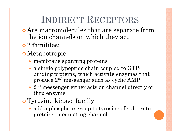# INDIRECT RECEPTORS

- Are macromolecules that are separate from the ion channels on which they act
- $\bullet$  2 famililes:
- Metabotropic
	- membrane spanning proteins
	- a single polypeptide chain coupled to GTPbinding proteins, which activate enzymes that produce  $2^{\rm nd}$  messenger such as cyclic AMP
	- 2<sup>nd</sup> messenger either acts on channel directly or thru enzyme
- Tyrosine kinase family
	- add a phosphate group to tyrosine of substrate proteins, modulating channel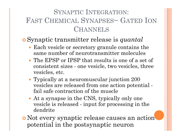#### SYNAPTIC INTEGRATION: FAST CHEMICAL SYNAPSES~ GATED ION**CHANNELS**

#### Synaptic transmitter release is *quantal*

- Each vesicle or secretory granule contains the same number of neurotransmitter molecules
- The EPSP or IPSP that results is one of a set of consistent sizes - one vesicle, two vesicles, three vesicles, etc.
- Typically at a neuromuscular junction 200 vesicles are released from one action potential fail safe contraction of the muscle
- At a synapse in the CNS, typically only one vesicle is released - input for processing in the dendrite
- Not every synaptic release causes an action potential in the postsynaptic neuron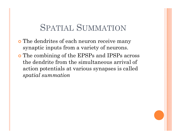### SPATIAL SUMMATION

- **o** The dendrites of each neuron receive many synaptic inputs from a variety of neurons.
- **o** The combining of the EPSPs and IPSPs across the dendrite from the simultaneous arrival of action potentials at various synapses is called *spatial summation*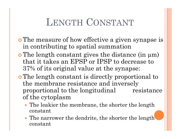# LENGTH CONSTANT

- **o** The measure of how effective a given synapse is in contributing to spatial summation
- The length constant gives the distance (in µm) that it takes an EPSP or IPSP to decrease to 37% of its original value at the synapse:
- The length constant is directly proportional to the membrane resistance and inversely proportional to the longitudinal resistance of the cytoplasm
	- The leakier the membrane, the shorter the length constant
	- The narrower the dendrite, the shorter the length constant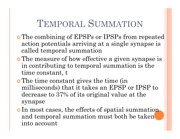# TEMPORAL SUMMATION

- **o** The combining of EPSPs or IPSPs from repeated action potentials arriving at a single synapse is called temporal summation
- **o** The measure of how effective a given synapse is in contributing to temporal summation is the time constant, t
- **o** The time constant gives the time (in milliseconds) that it takes an EPSP or IPSP to decrease to 37% of its original value at the synapse
- o In most cases, the effects of spatial summation and temporal summation must both be taken into account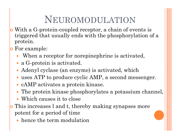# NEUROMODULATION

- O With a G-protein-coupled receptor, a chain of events is triggered that usually ends with the phosphorylation of a protein.
- O For example:
	- When a receptor for norepinephrine is activated,
	- a G-protein is activated.
	- Adenyl cyclase (an enzyme) is activated, which
	- $\bullet$  uses ATP to produce cyclic AMP, a second messenger.
	- cAMP activates a protein kinase.
	- The protein kinase phosphorylates a potassium channel,
	- Which causes it to close
- O This increases l and t, thereby making synapses more potent for a period of time
	- hence the term modulation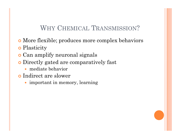#### WHY CHEMICAL TRANSMISSION?

- More flexible; produces more complex behaviors
- **o** Plasticity
- Can amplify neuronal signals
- **o** Directly gated are comparatively fast
	- $\bullet$ mediate behavior
- **o** Indirect are slower
	- important in memory, learning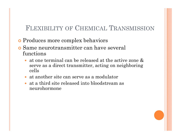#### FLEXIBILITY OF CHEMICAL TRANSMISSION

- **•** Produces more complex behaviors
- Same neurotransmitter can have several functions
	- $\bullet$  at one terminal can be released at the active zone & serve as a direct transmitter, acting on neighboring cells
	- at another site can serve as a modulator
	- at a third site released into bloodstream as neurohormone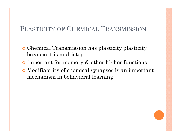#### PLASTICITY OF CHEMICAL TRANSMISSION

- Chemical Transmission has plasticity plasticity because it is multistep
- **•** Important for memory  $\&$  other higher functions
- Modifiability of chemical synapses is an important mechanism in behavioral learning